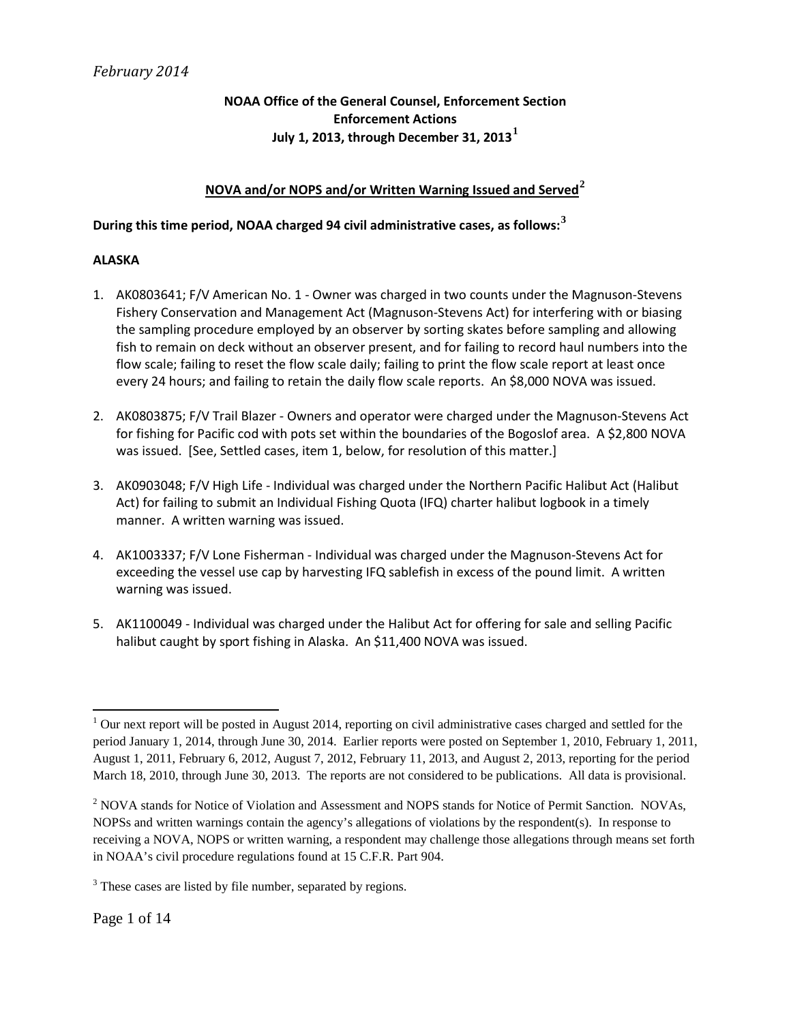## **NOAA Office of the General Counsel, Enforcement Section Enforcement Actions July 1, 2013, through December 31, 2013[1](#page-0-0)**

## **NOVA and/or NOPS and/or Written Warning Issued and Served[2](#page-0-1)**

# **During this time period, NOAA charged 94 civil administrative cases, as follows:[3](#page-0-2)**

### **ALASKA**

- 1. AK0803641; F/V American No. 1 Owner was charged in two counts under the Magnuson-Stevens Fishery Conservation and Management Act (Magnuson-Stevens Act) for interfering with or biasing the sampling procedure employed by an observer by sorting skates before sampling and allowing fish to remain on deck without an observer present, and for failing to record haul numbers into the flow scale; failing to reset the flow scale daily; failing to print the flow scale report at least once every 24 hours; and failing to retain the daily flow scale reports. An \$8,000 NOVA was issued.
- 2. AK0803875; F/V Trail Blazer Owners and operator were charged under the Magnuson-Stevens Act for fishing for Pacific cod with pots set within the boundaries of the Bogoslof area. A \$2,800 NOVA was issued. [See, Settled cases, item 1, below, for resolution of this matter.]
- 3. AK0903048; F/V High Life Individual was charged under the Northern Pacific Halibut Act (Halibut Act) for failing to submit an Individual Fishing Quota (IFQ) charter halibut logbook in a timely manner. A written warning was issued.
- 4. AK1003337; F/V Lone Fisherman Individual was charged under the Magnuson-Stevens Act for exceeding the vessel use cap by harvesting IFQ sablefish in excess of the pound limit. A written warning was issued.
- 5. AK1100049 Individual was charged under the Halibut Act for offering for sale and selling Pacific halibut caught by sport fishing in Alaska. An \$11,400 NOVA was issued.

 $\overline{\phantom{a}}$ 

<span id="page-0-0"></span> $1$  Our next report will be posted in August 2014, reporting on civil administrative cases charged and settled for the period January 1, 2014, through June 30, 2014. Earlier reports were posted on September 1, 2010, February 1, 2011, August 1, 2011, February 6, 2012, August 7, 2012, February 11, 2013, and August 2, 2013, reporting for the period March 18, 2010, through June 30, 2013. The reports are not considered to be publications. All data is provisional.

<span id="page-0-1"></span><sup>&</sup>lt;sup>2</sup> NOVA stands for Notice of Violation and Assessment and NOPS stands for Notice of Permit Sanction. NOVAs, NOPSs and written warnings contain the agency's allegations of violations by the respondent(s). In response to receiving a NOVA, NOPS or written warning, a respondent may challenge those allegations through means set forth in NOAA's civil procedure regulations found at 15 C.F.R. Part 904.

<span id="page-0-2"></span><sup>&</sup>lt;sup>3</sup> These cases are listed by file number, separated by regions.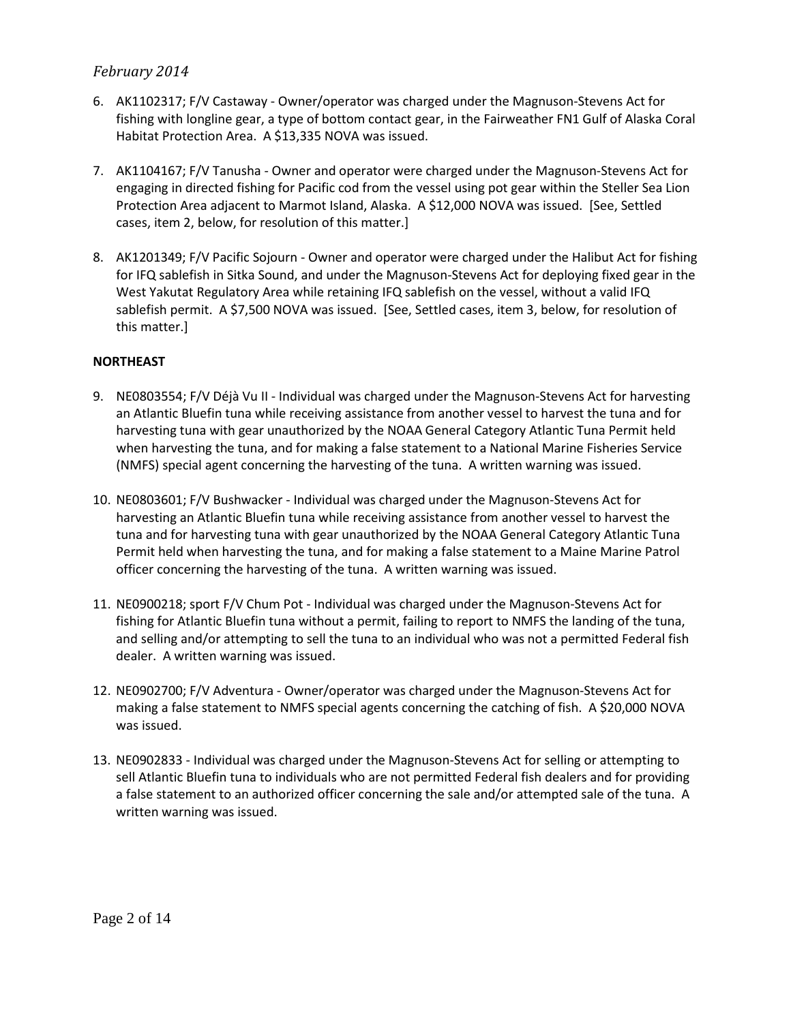- 6. AK1102317; F/V Castaway Owner/operator was charged under the Magnuson-Stevens Act for fishing with longline gear, a type of bottom contact gear, in the Fairweather FN1 Gulf of Alaska Coral Habitat Protection Area. A \$13,335 NOVA was issued.
- 7. AK1104167; F/V Tanusha Owner and operator were charged under the Magnuson-Stevens Act for engaging in directed fishing for Pacific cod from the vessel using pot gear within the Steller Sea Lion Protection Area adjacent to Marmot Island, Alaska. A \$12,000 NOVA was issued. [See, Settled cases, item 2, below, for resolution of this matter.]
- 8. AK1201349; F/V Pacific Sojourn Owner and operator were charged under the Halibut Act for fishing for IFQ sablefish in Sitka Sound, and under the Magnuson-Stevens Act for deploying fixed gear in the West Yakutat Regulatory Area while retaining IFQ sablefish on the vessel, without a valid IFQ sablefish permit. A \$7,500 NOVA was issued. [See, Settled cases, item 3, below, for resolution of this matter.]

### **NORTHEAST**

- 9. NE0803554; F/V Déjà Vu II Individual was charged under the Magnuson-Stevens Act for harvesting an Atlantic Bluefin tuna while receiving assistance from another vessel to harvest the tuna and for harvesting tuna with gear unauthorized by the NOAA General Category Atlantic Tuna Permit held when harvesting the tuna, and for making a false statement to a National Marine Fisheries Service (NMFS) special agent concerning the harvesting of the tuna. A written warning was issued.
- 10. NE0803601; F/V Bushwacker Individual was charged under the Magnuson-Stevens Act for harvesting an Atlantic Bluefin tuna while receiving assistance from another vessel to harvest the tuna and for harvesting tuna with gear unauthorized by the NOAA General Category Atlantic Tuna Permit held when harvesting the tuna, and for making a false statement to a Maine Marine Patrol officer concerning the harvesting of the tuna. A written warning was issued.
- 11. NE0900218; sport F/V Chum Pot Individual was charged under the Magnuson-Stevens Act for fishing for Atlantic Bluefin tuna without a permit, failing to report to NMFS the landing of the tuna, and selling and/or attempting to sell the tuna to an individual who was not a permitted Federal fish dealer. A written warning was issued.
- 12. NE0902700; F/V Adventura Owner/operator was charged under the Magnuson-Stevens Act for making a false statement to NMFS special agents concerning the catching of fish. A \$20,000 NOVA was issued.
- 13. NE0902833 Individual was charged under the Magnuson-Stevens Act for selling or attempting to sell Atlantic Bluefin tuna to individuals who are not permitted Federal fish dealers and for providing a false statement to an authorized officer concerning the sale and/or attempted sale of the tuna. A written warning was issued.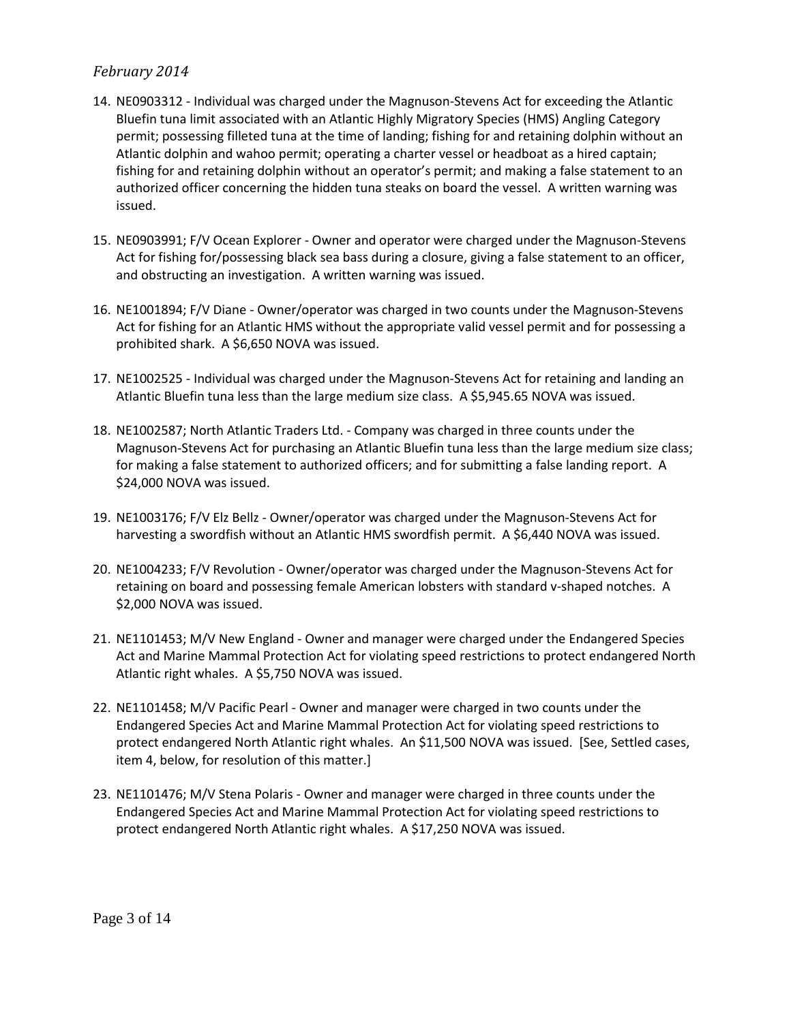- 14. NE0903312 Individual was charged under the Magnuson-Stevens Act for exceeding the Atlantic Bluefin tuna limit associated with an Atlantic Highly Migratory Species (HMS) Angling Category permit; possessing filleted tuna at the time of landing; fishing for and retaining dolphin without an Atlantic dolphin and wahoo permit; operating a charter vessel or headboat as a hired captain; fishing for and retaining dolphin without an operator's permit; and making a false statement to an authorized officer concerning the hidden tuna steaks on board the vessel. A written warning was issued.
- 15. NE0903991; F/V Ocean Explorer Owner and operator were charged under the Magnuson-Stevens Act for fishing for/possessing black sea bass during a closure, giving a false statement to an officer, and obstructing an investigation. A written warning was issued.
- 16. NE1001894; F/V Diane Owner/operator was charged in two counts under the Magnuson-Stevens Act for fishing for an Atlantic HMS without the appropriate valid vessel permit and for possessing a prohibited shark. A \$6,650 NOVA was issued.
- 17. NE1002525 Individual was charged under the Magnuson-Stevens Act for retaining and landing an Atlantic Bluefin tuna less than the large medium size class. A \$5,945.65 NOVA was issued.
- 18. NE1002587; North Atlantic Traders Ltd. Company was charged in three counts under the Magnuson-Stevens Act for purchasing an Atlantic Bluefin tuna less than the large medium size class; for making a false statement to authorized officers; and for submitting a false landing report. A \$24,000 NOVA was issued.
- 19. NE1003176; F/V Elz Bellz Owner/operator was charged under the Magnuson-Stevens Act for harvesting a swordfish without an Atlantic HMS swordfish permit. A \$6,440 NOVA was issued.
- 20. NE1004233; F/V Revolution Owner/operator was charged under the Magnuson-Stevens Act for retaining on board and possessing female American lobsters with standard v-shaped notches. A \$2,000 NOVA was issued.
- 21. NE1101453; M/V New England Owner and manager were charged under the Endangered Species Act and Marine Mammal Protection Act for violating speed restrictions to protect endangered North Atlantic right whales. A \$5,750 NOVA was issued.
- 22. NE1101458; M/V Pacific Pearl Owner and manager were charged in two counts under the Endangered Species Act and Marine Mammal Protection Act for violating speed restrictions to protect endangered North Atlantic right whales. An \$11,500 NOVA was issued. [See, Settled cases, item 4, below, for resolution of this matter.]
- 23. NE1101476; M/V Stena Polaris Owner and manager were charged in three counts under the Endangered Species Act and Marine Mammal Protection Act for violating speed restrictions to protect endangered North Atlantic right whales. A \$17,250 NOVA was issued.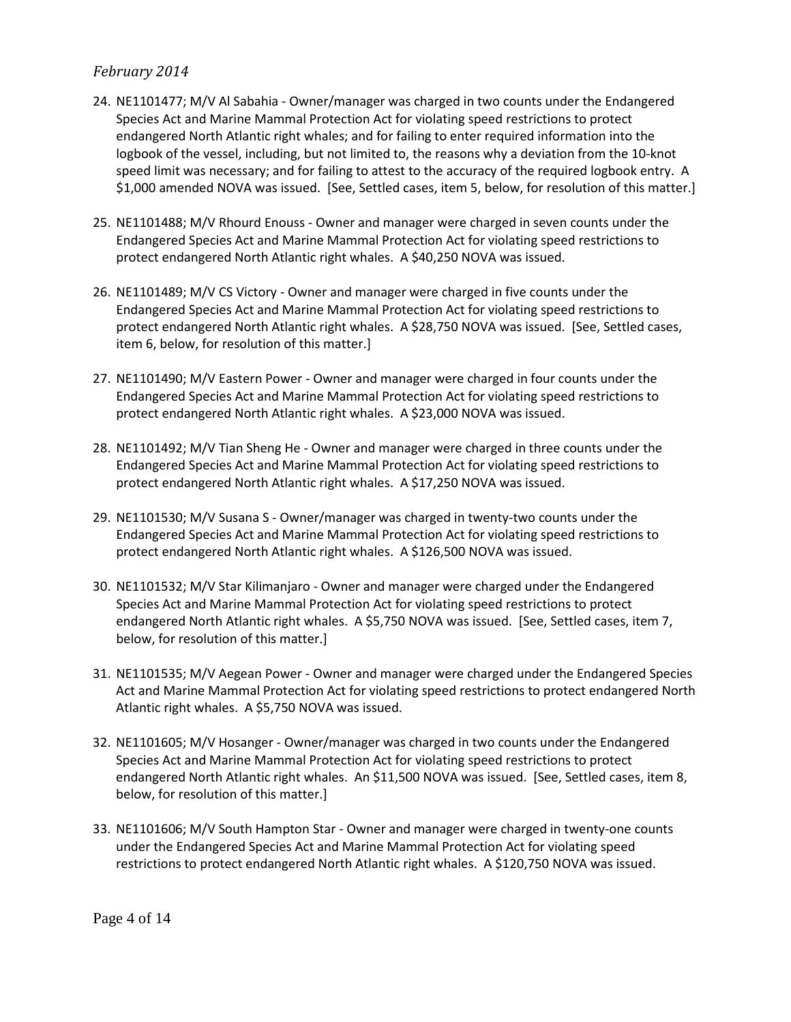- 24. NE1101477; M/V Al Sabahia Owner/manager was charged in two counts under the Endangered Species Act and Marine Mammal Protection Act for violating speed restrictions to protect endangered North Atlantic right whales; and for failing to enter required information into the logbook of the vessel, including, but not limited to, the reasons why a deviation from the 10-knot speed limit was necessary; and for failing to attest to the accuracy of the required logbook entry. A \$1,000 amended NOVA was issued. [See, Settled cases, item 5, below, for resolution of this matter.]
- 25. NE1101488; M/V Rhourd Enouss Owner and manager were charged in seven counts under the Endangered Species Act and Marine Mammal Protection Act for violating speed restrictions to protect endangered North Atlantic right whales. A \$40,250 NOVA was issued.
- 26. NE1101489; M/V CS Victory Owner and manager were charged in five counts under the Endangered Species Act and Marine Mammal Protection Act for violating speed restrictions to protect endangered North Atlantic right whales. A \$28,750 NOVA was issued. [See, Settled cases, item 6, below, for resolution of this matter.]
- 27. NE1101490; M/V Eastern Power Owner and manager were charged in four counts under the Endangered Species Act and Marine Mammal Protection Act for violating speed restrictions to protect endangered North Atlantic right whales. A \$23,000 NOVA was issued.
- 28. NE1101492; M/V Tian Sheng He Owner and manager were charged in three counts under the Endangered Species Act and Marine Mammal Protection Act for violating speed restrictions to protect endangered North Atlantic right whales. A \$17,250 NOVA was issued.
- 29. NE1101530; M/V Susana S Owner/manager was charged in twenty-two counts under the Endangered Species Act and Marine Mammal Protection Act for violating speed restrictions to protect endangered North Atlantic right whales. A \$126,500 NOVA was issued.
- 30. NE1101532; M/V Star Kilimanjaro Owner and manager were charged under the Endangered Species Act and Marine Mammal Protection Act for violating speed restrictions to protect endangered North Atlantic right whales. A \$5,750 NOVA was issued. [See, Settled cases, item 7, below, for resolution of this matter.]
- 31. NE1101535; M/V Aegean Power Owner and manager were charged under the Endangered Species Act and Marine Mammal Protection Act for violating speed restrictions to protect endangered North Atlantic right whales. A \$5,750 NOVA was issued.
- 32. NE1101605; M/V Hosanger Owner/manager was charged in two counts under the Endangered Species Act and Marine Mammal Protection Act for violating speed restrictions to protect endangered North Atlantic right whales. An \$11,500 NOVA was issued. [See, Settled cases, item 8, below, for resolution of this matter.]
- 33. NE1101606; M/V South Hampton Star Owner and manager were charged in twenty-one counts under the Endangered Species Act and Marine Mammal Protection Act for violating speed restrictions to protect endangered North Atlantic right whales. A \$120,750 NOVA was issued.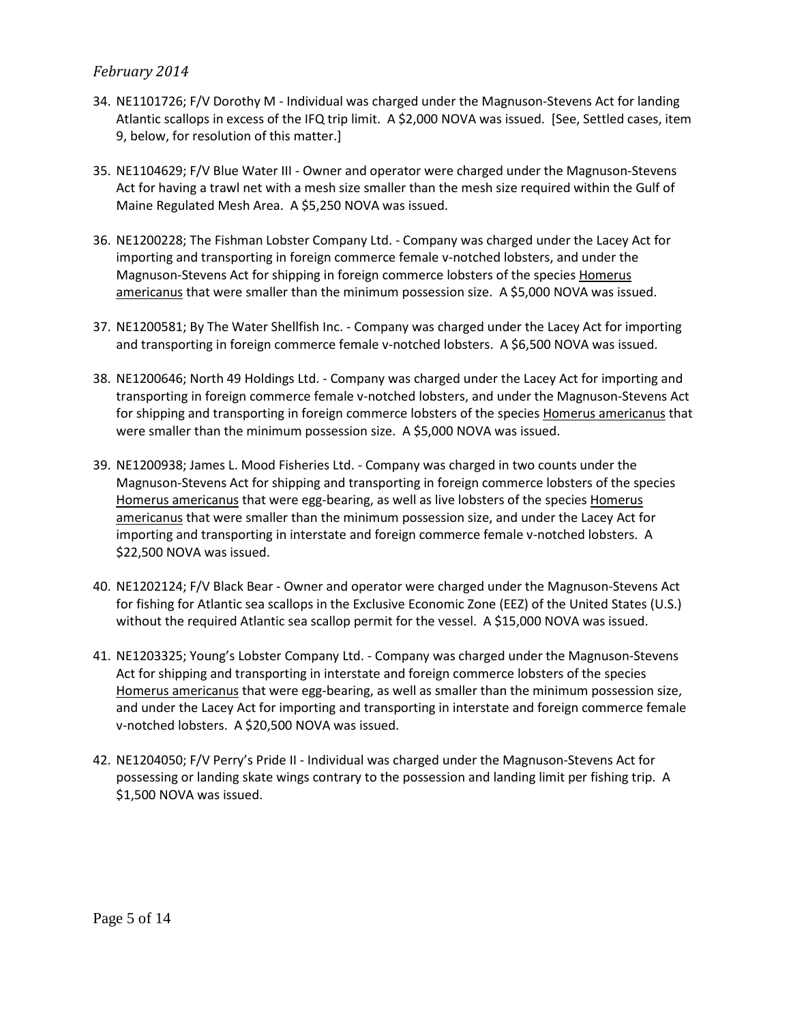- 34. NE1101726; F/V Dorothy M Individual was charged under the Magnuson-Stevens Act for landing Atlantic scallops in excess of the IFQ trip limit. A \$2,000 NOVA was issued. [See, Settled cases, item 9, below, for resolution of this matter.]
- 35. NE1104629; F/V Blue Water III Owner and operator were charged under the Magnuson-Stevens Act for having a trawl net with a mesh size smaller than the mesh size required within the Gulf of Maine Regulated Mesh Area. A \$5,250 NOVA was issued.
- 36. NE1200228; The Fishman Lobster Company Ltd. Company was charged under the Lacey Act for importing and transporting in foreign commerce female v-notched lobsters, and under the Magnuson-Stevens Act for shipping in foreign commerce lobsters of the species Homerus americanus that were smaller than the minimum possession size. A \$5,000 NOVA was issued.
- 37. NE1200581; By The Water Shellfish Inc. Company was charged under the Lacey Act for importing and transporting in foreign commerce female v-notched lobsters. A \$6,500 NOVA was issued.
- 38. NE1200646; North 49 Holdings Ltd. Company was charged under the Lacey Act for importing and transporting in foreign commerce female v-notched lobsters, and under the Magnuson-Stevens Act for shipping and transporting in foreign commerce lobsters of the species Homerus americanus that were smaller than the minimum possession size. A \$5,000 NOVA was issued.
- 39. NE1200938; James L. Mood Fisheries Ltd. Company was charged in two counts under the Magnuson-Stevens Act for shipping and transporting in foreign commerce lobsters of the species Homerus americanus that were egg-bearing, as well as live lobsters of the species Homerus americanus that were smaller than the minimum possession size, and under the Lacey Act for importing and transporting in interstate and foreign commerce female v-notched lobsters. A \$22,500 NOVA was issued.
- 40. NE1202124; F/V Black Bear Owner and operator were charged under the Magnuson-Stevens Act for fishing for Atlantic sea scallops in the Exclusive Economic Zone (EEZ) of the United States (U.S.) without the required Atlantic sea scallop permit for the vessel. A \$15,000 NOVA was issued.
- 41. NE1203325; Young's Lobster Company Ltd. Company was charged under the Magnuson-Stevens Act for shipping and transporting in interstate and foreign commerce lobsters of the species Homerus americanus that were egg-bearing, as well as smaller than the minimum possession size, and under the Lacey Act for importing and transporting in interstate and foreign commerce female v-notched lobsters. A \$20,500 NOVA was issued.
- 42. NE1204050; F/V Perry's Pride II Individual was charged under the Magnuson-Stevens Act for possessing or landing skate wings contrary to the possession and landing limit per fishing trip. A \$1,500 NOVA was issued.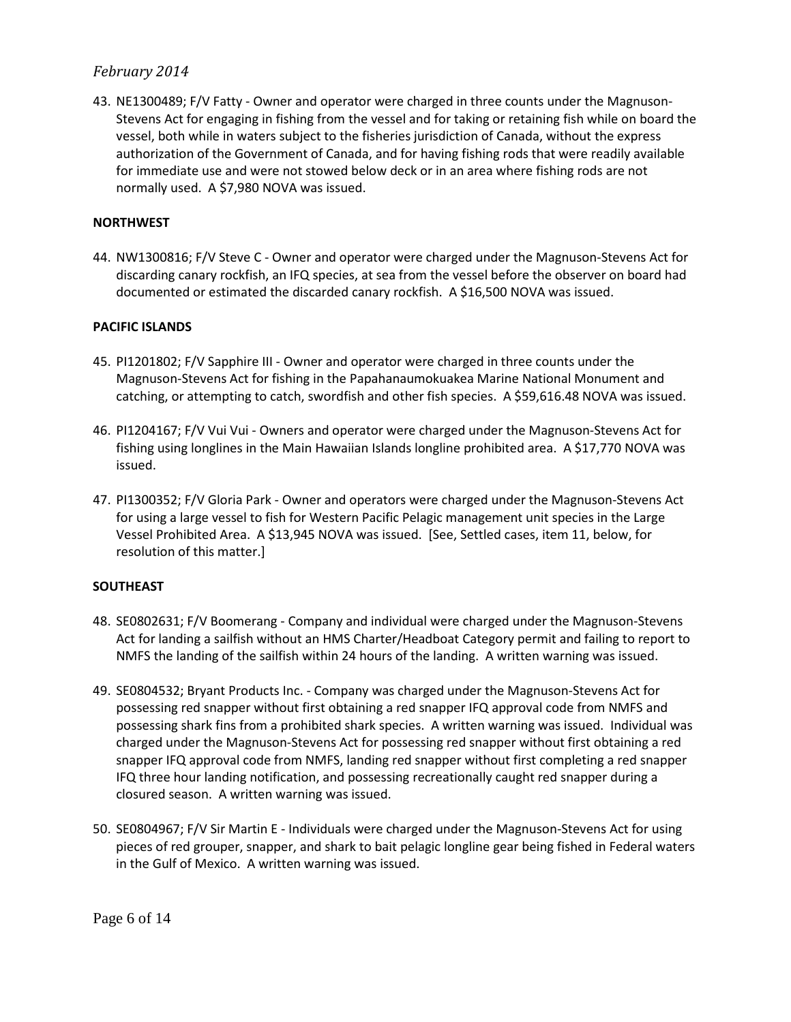43. NE1300489; F/V Fatty - Owner and operator were charged in three counts under the Magnuson-Stevens Act for engaging in fishing from the vessel and for taking or retaining fish while on board the vessel, both while in waters subject to the fisheries jurisdiction of Canada, without the express authorization of the Government of Canada, and for having fishing rods that were readily available for immediate use and were not stowed below deck or in an area where fishing rods are not normally used. A \$7,980 NOVA was issued.

#### **NORTHWEST**

44. NW1300816; F/V Steve C - Owner and operator were charged under the Magnuson-Stevens Act for discarding canary rockfish, an IFQ species, at sea from the vessel before the observer on board had documented or estimated the discarded canary rockfish. A \$16,500 NOVA was issued.

#### **PACIFIC ISLANDS**

- 45. PI1201802; F/V Sapphire III Owner and operator were charged in three counts under the Magnuson-Stevens Act for fishing in the Papahanaumokuakea Marine National Monument and catching, or attempting to catch, swordfish and other fish species. A \$59,616.48 NOVA was issued.
- 46. PI1204167; F/V Vui Vui Owners and operator were charged under the Magnuson-Stevens Act for fishing using longlines in the Main Hawaiian Islands longline prohibited area. A \$17,770 NOVA was issued.
- 47. PI1300352; F/V Gloria Park Owner and operators were charged under the Magnuson-Stevens Act for using a large vessel to fish for Western Pacific Pelagic management unit species in the Large Vessel Prohibited Area. A \$13,945 NOVA was issued. [See, Settled cases, item 11, below, for resolution of this matter.]

#### **SOUTHEAST**

- 48. SE0802631; F/V Boomerang Company and individual were charged under the Magnuson-Stevens Act for landing a sailfish without an HMS Charter/Headboat Category permit and failing to report to NMFS the landing of the sailfish within 24 hours of the landing. A written warning was issued.
- 49. SE0804532; Bryant Products Inc. Company was charged under the Magnuson-Stevens Act for possessing red snapper without first obtaining a red snapper IFQ approval code from NMFS and possessing shark fins from a prohibited shark species. A written warning was issued. Individual was charged under the Magnuson-Stevens Act for possessing red snapper without first obtaining a red snapper IFQ approval code from NMFS, landing red snapper without first completing a red snapper IFQ three hour landing notification, and possessing recreationally caught red snapper during a closured season. A written warning was issued.
- 50. SE0804967; F/V Sir Martin E Individuals were charged under the Magnuson-Stevens Act for using pieces of red grouper, snapper, and shark to bait pelagic longline gear being fished in Federal waters in the Gulf of Mexico. A written warning was issued.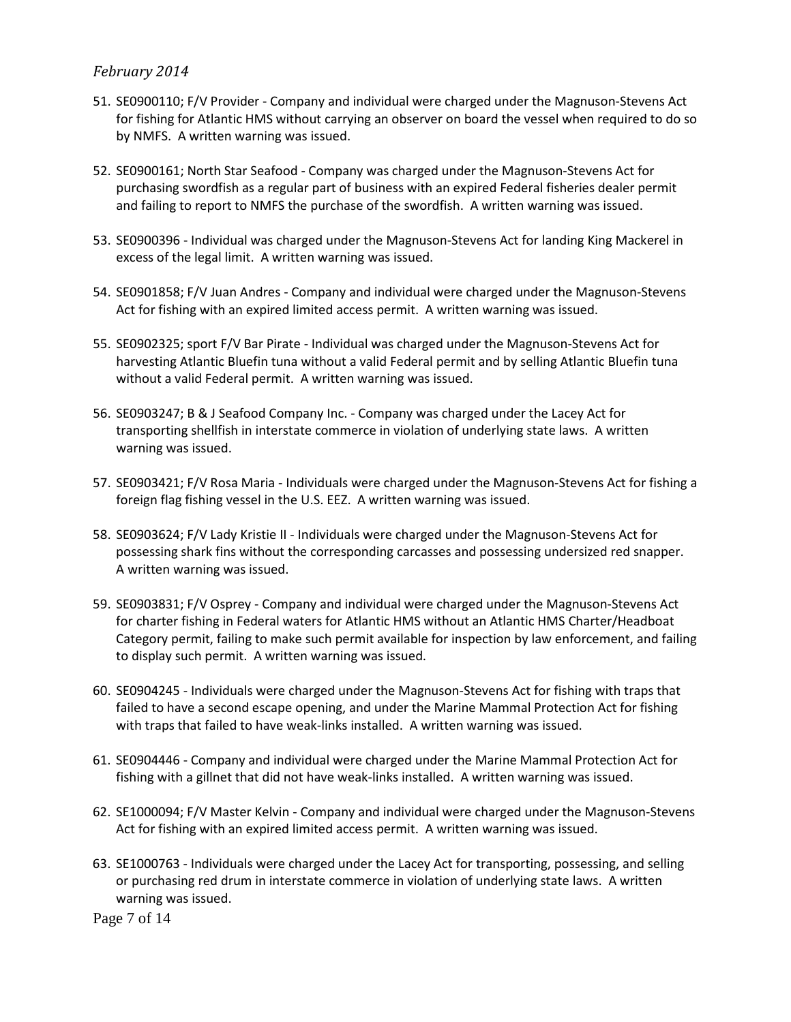- 51. SE0900110; F/V Provider Company and individual were charged under the Magnuson-Stevens Act for fishing for Atlantic HMS without carrying an observer on board the vessel when required to do so by NMFS. A written warning was issued.
- 52. SE0900161; North Star Seafood Company was charged under the Magnuson-Stevens Act for purchasing swordfish as a regular part of business with an expired Federal fisheries dealer permit and failing to report to NMFS the purchase of the swordfish. A written warning was issued.
- 53. SE0900396 Individual was charged under the Magnuson-Stevens Act for landing King Mackerel in excess of the legal limit. A written warning was issued.
- 54. SE0901858; F/V Juan Andres Company and individual were charged under the Magnuson-Stevens Act for fishing with an expired limited access permit. A written warning was issued.
- 55. SE0902325; sport F/V Bar Pirate Individual was charged under the Magnuson-Stevens Act for harvesting Atlantic Bluefin tuna without a valid Federal permit and by selling Atlantic Bluefin tuna without a valid Federal permit. A written warning was issued.
- 56. SE0903247; B & J Seafood Company Inc. Company was charged under the Lacey Act for transporting shellfish in interstate commerce in violation of underlying state laws. A written warning was issued.
- 57. SE0903421; F/V Rosa Maria Individuals were charged under the Magnuson-Stevens Act for fishing a foreign flag fishing vessel in the U.S. EEZ. A written warning was issued.
- 58. SE0903624; F/V Lady Kristie II Individuals were charged under the Magnuson-Stevens Act for possessing shark fins without the corresponding carcasses and possessing undersized red snapper. A written warning was issued.
- 59. SE0903831; F/V Osprey Company and individual were charged under the Magnuson-Stevens Act for charter fishing in Federal waters for Atlantic HMS without an Atlantic HMS Charter/Headboat Category permit, failing to make such permit available for inspection by law enforcement, and failing to display such permit. A written warning was issued.
- 60. SE0904245 Individuals were charged under the Magnuson-Stevens Act for fishing with traps that failed to have a second escape opening, and under the Marine Mammal Protection Act for fishing with traps that failed to have weak-links installed. A written warning was issued.
- 61. SE0904446 Company and individual were charged under the Marine Mammal Protection Act for fishing with a gillnet that did not have weak-links installed. A written warning was issued.
- 62. SE1000094; F/V Master Kelvin Company and individual were charged under the Magnuson-Stevens Act for fishing with an expired limited access permit. A written warning was issued.
- 63. SE1000763 Individuals were charged under the Lacey Act for transporting, possessing, and selling or purchasing red drum in interstate commerce in violation of underlying state laws. A written warning was issued.

Page 7 of 14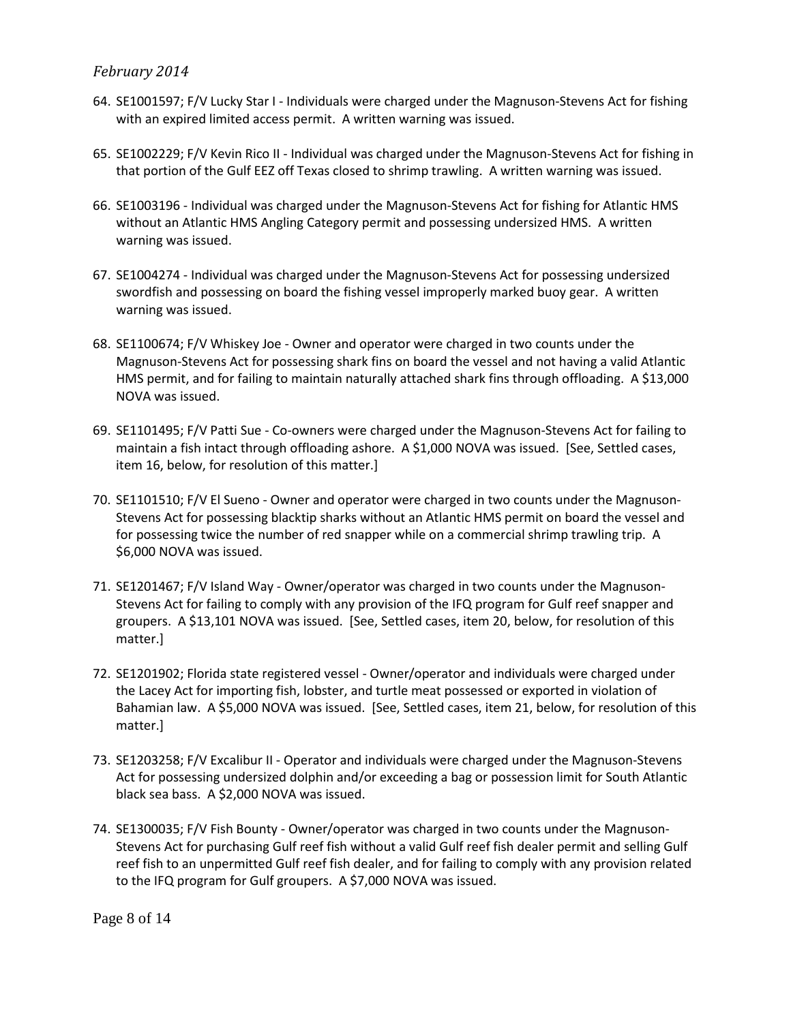- 64. SE1001597; F/V Lucky Star I Individuals were charged under the Magnuson-Stevens Act for fishing with an expired limited access permit. A written warning was issued.
- 65. SE1002229; F/V Kevin Rico II Individual was charged under the Magnuson-Stevens Act for fishing in that portion of the Gulf EEZ off Texas closed to shrimp trawling. A written warning was issued.
- 66. SE1003196 Individual was charged under the Magnuson-Stevens Act for fishing for Atlantic HMS without an Atlantic HMS Angling Category permit and possessing undersized HMS. A written warning was issued.
- 67. SE1004274 Individual was charged under the Magnuson-Stevens Act for possessing undersized swordfish and possessing on board the fishing vessel improperly marked buoy gear. A written warning was issued.
- 68. SE1100674; F/V Whiskey Joe Owner and operator were charged in two counts under the Magnuson-Stevens Act for possessing shark fins on board the vessel and not having a valid Atlantic HMS permit, and for failing to maintain naturally attached shark fins through offloading. A \$13,000 NOVA was issued.
- 69. SE1101495; F/V Patti Sue Co-owners were charged under the Magnuson-Stevens Act for failing to maintain a fish intact through offloading ashore. A \$1,000 NOVA was issued. [See, Settled cases, item 16, below, for resolution of this matter.]
- 70. SE1101510; F/V El Sueno Owner and operator were charged in two counts under the Magnuson-Stevens Act for possessing blacktip sharks without an Atlantic HMS permit on board the vessel and for possessing twice the number of red snapper while on a commercial shrimp trawling trip. A \$6,000 NOVA was issued.
- 71. SE1201467; F/V Island Way Owner/operator was charged in two counts under the Magnuson-Stevens Act for failing to comply with any provision of the IFQ program for Gulf reef snapper and groupers. A \$13,101 NOVA was issued. [See, Settled cases, item 20, below, for resolution of this matter.]
- 72. SE1201902; Florida state registered vessel Owner/operator and individuals were charged under the Lacey Act for importing fish, lobster, and turtle meat possessed or exported in violation of Bahamian law. A \$5,000 NOVA was issued. [See, Settled cases, item 21, below, for resolution of this matter.]
- 73. SE1203258; F/V Excalibur II Operator and individuals were charged under the Magnuson-Stevens Act for possessing undersized dolphin and/or exceeding a bag or possession limit for South Atlantic black sea bass. A \$2,000 NOVA was issued.
- 74. SE1300035; F/V Fish Bounty Owner/operator was charged in two counts under the Magnuson-Stevens Act for purchasing Gulf reef fish without a valid Gulf reef fish dealer permit and selling Gulf reef fish to an unpermitted Gulf reef fish dealer, and for failing to comply with any provision related to the IFQ program for Gulf groupers. A \$7,000 NOVA was issued.

Page 8 of 14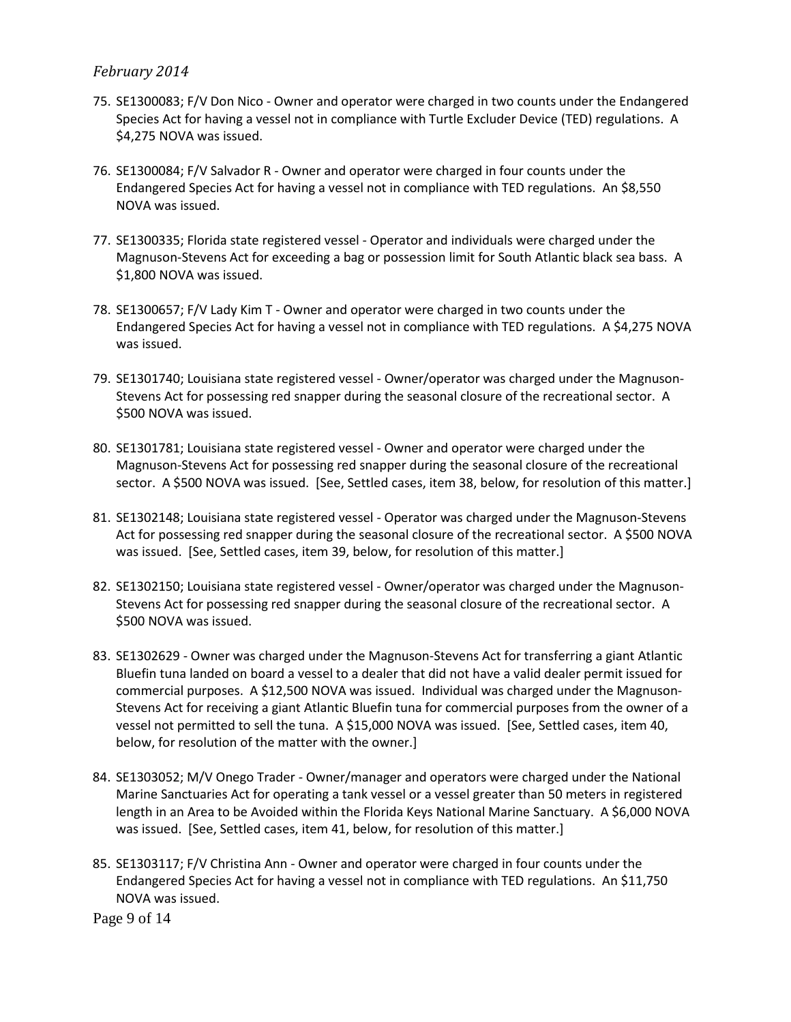- 75. SE1300083; F/V Don Nico Owner and operator were charged in two counts under the Endangered Species Act for having a vessel not in compliance with Turtle Excluder Device (TED) regulations. A \$4,275 NOVA was issued.
- 76. SE1300084; F/V Salvador R Owner and operator were charged in four counts under the Endangered Species Act for having a vessel not in compliance with TED regulations. An \$8,550 NOVA was issued.
- 77. SE1300335; Florida state registered vessel Operator and individuals were charged under the Magnuson-Stevens Act for exceeding a bag or possession limit for South Atlantic black sea bass. A \$1,800 NOVA was issued.
- 78. SE1300657; F/V Lady Kim T Owner and operator were charged in two counts under the Endangered Species Act for having a vessel not in compliance with TED regulations. A \$4,275 NOVA was issued.
- 79. SE1301740; Louisiana state registered vessel Owner/operator was charged under the Magnuson-Stevens Act for possessing red snapper during the seasonal closure of the recreational sector. A \$500 NOVA was issued.
- 80. SE1301781; Louisiana state registered vessel Owner and operator were charged under the Magnuson-Stevens Act for possessing red snapper during the seasonal closure of the recreational sector. A \$500 NOVA was issued. [See, Settled cases, item 38, below, for resolution of this matter.]
- 81. SE1302148; Louisiana state registered vessel Operator was charged under the Magnuson-Stevens Act for possessing red snapper during the seasonal closure of the recreational sector. A \$500 NOVA was issued. [See, Settled cases, item 39, below, for resolution of this matter.]
- 82. SE1302150; Louisiana state registered vessel Owner/operator was charged under the Magnuson-Stevens Act for possessing red snapper during the seasonal closure of the recreational sector. A \$500 NOVA was issued.
- 83. SE1302629 Owner was charged under the Magnuson-Stevens Act for transferring a giant Atlantic Bluefin tuna landed on board a vessel to a dealer that did not have a valid dealer permit issued for commercial purposes. A \$12,500 NOVA was issued. Individual was charged under the Magnuson-Stevens Act for receiving a giant Atlantic Bluefin tuna for commercial purposes from the owner of a vessel not permitted to sell the tuna. A \$15,000 NOVA was issued. [See, Settled cases, item 40, below, for resolution of the matter with the owner.]
- 84. SE1303052; M/V Onego Trader Owner/manager and operators were charged under the National Marine Sanctuaries Act for operating a tank vessel or a vessel greater than 50 meters in registered length in an Area to be Avoided within the Florida Keys National Marine Sanctuary. A \$6,000 NOVA was issued. [See, Settled cases, item 41, below, for resolution of this matter.]
- 85. SE1303117; F/V Christina Ann Owner and operator were charged in four counts under the Endangered Species Act for having a vessel not in compliance with TED regulations. An \$11,750 NOVA was issued.

Page 9 of 14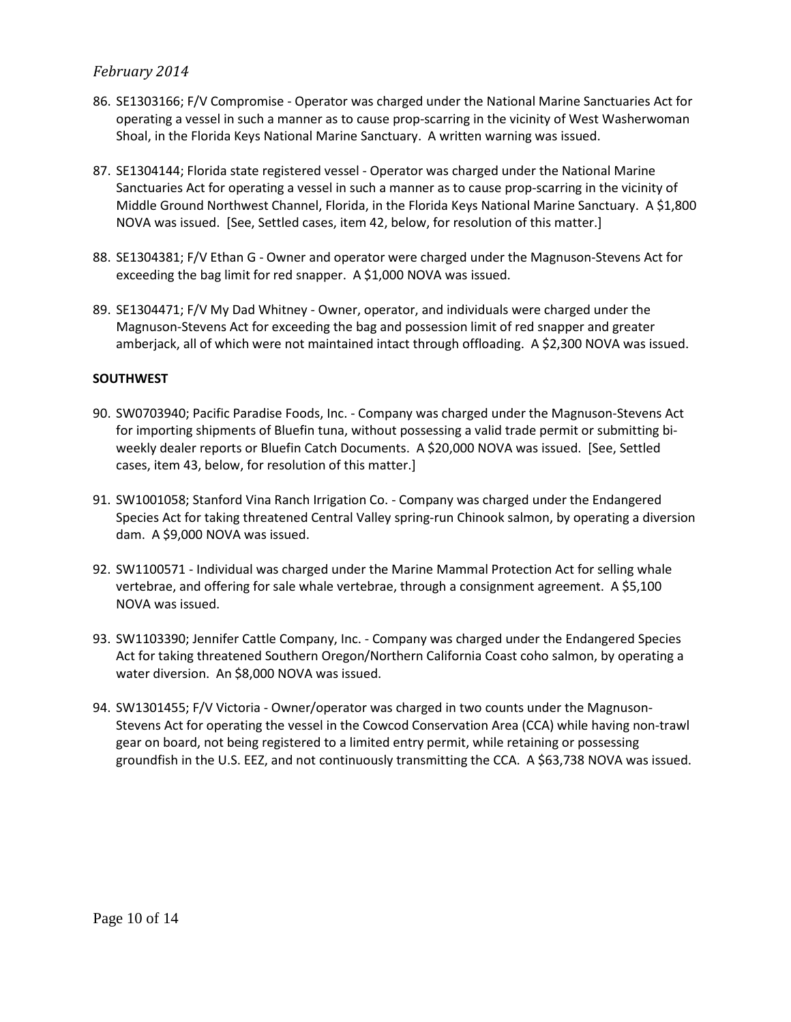- 86. SE1303166; F/V Compromise Operator was charged under the National Marine Sanctuaries Act for operating a vessel in such a manner as to cause prop-scarring in the vicinity of West Washerwoman Shoal, in the Florida Keys National Marine Sanctuary. A written warning was issued.
- 87. SE1304144; Florida state registered vessel Operator was charged under the National Marine Sanctuaries Act for operating a vessel in such a manner as to cause prop-scarring in the vicinity of Middle Ground Northwest Channel, Florida, in the Florida Keys National Marine Sanctuary. A \$1,800 NOVA was issued. [See, Settled cases, item 42, below, for resolution of this matter.]
- 88. SE1304381; F/V Ethan G Owner and operator were charged under the Magnuson-Stevens Act for exceeding the bag limit for red snapper. A \$1,000 NOVA was issued.
- 89. SE1304471; F/V My Dad Whitney Owner, operator, and individuals were charged under the Magnuson-Stevens Act for exceeding the bag and possession limit of red snapper and greater amberjack, all of which were not maintained intact through offloading. A \$2,300 NOVA was issued.

#### **SOUTHWEST**

- 90. SW0703940; Pacific Paradise Foods, Inc. Company was charged under the Magnuson-Stevens Act for importing shipments of Bluefin tuna, without possessing a valid trade permit or submitting biweekly dealer reports or Bluefin Catch Documents. A \$20,000 NOVA was issued. [See, Settled cases, item 43, below, for resolution of this matter.]
- 91. SW1001058; Stanford Vina Ranch Irrigation Co. Company was charged under the Endangered Species Act for taking threatened Central Valley spring-run Chinook salmon, by operating a diversion dam. A \$9,000 NOVA was issued.
- 92. SW1100571 Individual was charged under the Marine Mammal Protection Act for selling whale vertebrae, and offering for sale whale vertebrae, through a consignment agreement. A \$5,100 NOVA was issued.
- 93. SW1103390; Jennifer Cattle Company, Inc. Company was charged under the Endangered Species Act for taking threatened Southern Oregon/Northern California Coast coho salmon, by operating a water diversion. An \$8,000 NOVA was issued.
- 94. SW1301455; F/V Victoria Owner/operator was charged in two counts under the Magnuson-Stevens Act for operating the vessel in the Cowcod Conservation Area (CCA) while having non-trawl gear on board, not being registered to a limited entry permit, while retaining or possessing groundfish in the U.S. EEZ, and not continuously transmitting the CCA. A \$63,738 NOVA was issued.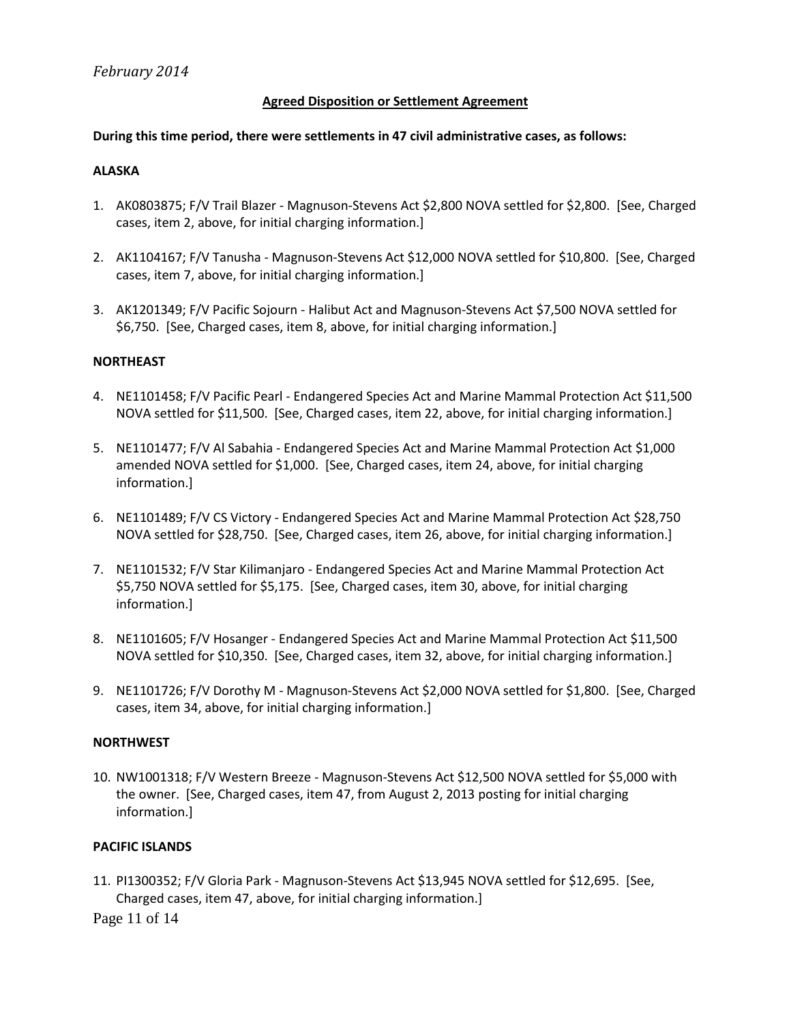#### **Agreed Disposition or Settlement Agreement**

#### **During this time period, there were settlements in 47 civil administrative cases, as follows:**

#### **ALASKA**

- 1. AK0803875; F/V Trail Blazer Magnuson-Stevens Act \$2,800 NOVA settled for \$2,800. [See, Charged cases, item 2, above, for initial charging information.]
- 2. AK1104167; F/V Tanusha Magnuson-Stevens Act \$12,000 NOVA settled for \$10,800. [See, Charged cases, item 7, above, for initial charging information.]
- 3. AK1201349; F/V Pacific Sojourn Halibut Act and Magnuson-Stevens Act \$7,500 NOVA settled for \$6,750. [See, Charged cases, item 8, above, for initial charging information.]

### **NORTHEAST**

- 4. NE1101458; F/V Pacific Pearl Endangered Species Act and Marine Mammal Protection Act \$11,500 NOVA settled for \$11,500. [See, Charged cases, item 22, above, for initial charging information.]
- 5. NE1101477; F/V Al Sabahia Endangered Species Act and Marine Mammal Protection Act \$1,000 amended NOVA settled for \$1,000. [See, Charged cases, item 24, above, for initial charging information.]
- 6. NE1101489; F/V CS Victory Endangered Species Act and Marine Mammal Protection Act \$28,750 NOVA settled for \$28,750. [See, Charged cases, item 26, above, for initial charging information.]
- 7. NE1101532; F/V Star Kilimanjaro Endangered Species Act and Marine Mammal Protection Act \$5,750 NOVA settled for \$5,175. [See, Charged cases, item 30, above, for initial charging information.]
- 8. NE1101605; F/V Hosanger Endangered Species Act and Marine Mammal Protection Act \$11,500 NOVA settled for \$10,350. [See, Charged cases, item 32, above, for initial charging information.]
- 9. NE1101726; F/V Dorothy M Magnuson-Stevens Act \$2,000 NOVA settled for \$1,800. [See, Charged cases, item 34, above, for initial charging information.]

#### **NORTHWEST**

10. NW1001318; F/V Western Breeze - Magnuson-Stevens Act \$12,500 NOVA settled for \$5,000 with the owner. [See, Charged cases, item 47, from August 2, 2013 posting for initial charging information.]

#### **PACIFIC ISLANDS**

11. PI1300352; F/V Gloria Park - Magnuson-Stevens Act \$13,945 NOVA settled for \$12,695. [See, Charged cases, item 47, above, for initial charging information.]

Page 11 of 14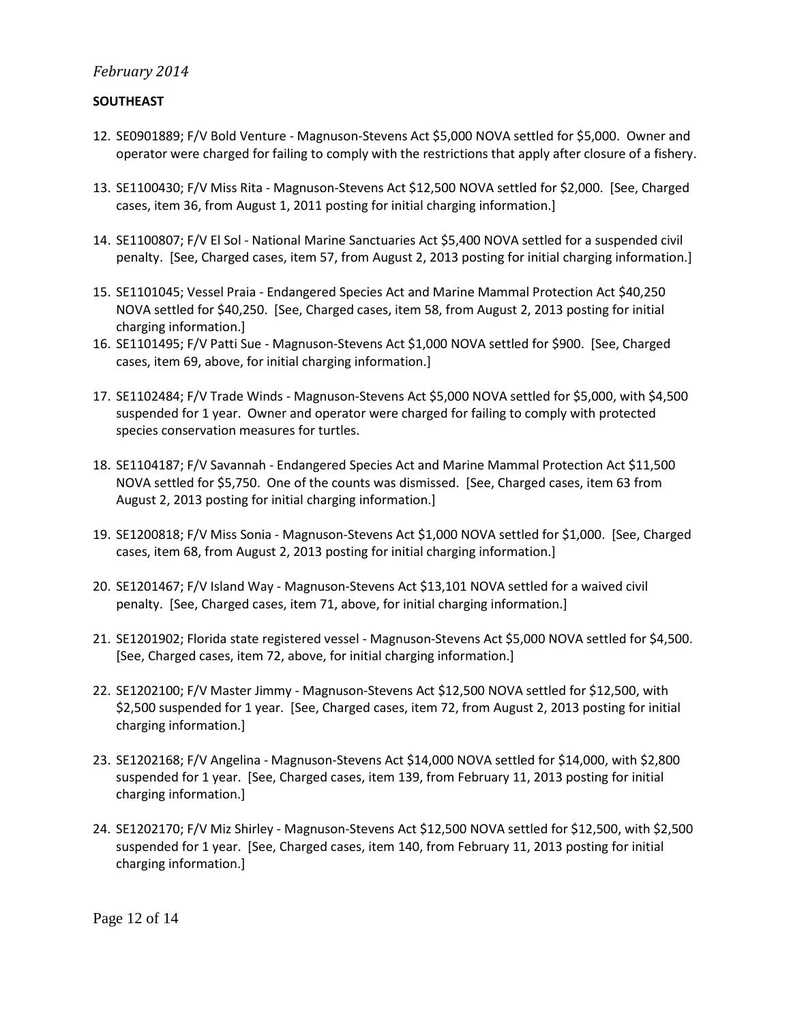### **SOUTHEAST**

- 12. SE0901889; F/V Bold Venture Magnuson-Stevens Act \$5,000 NOVA settled for \$5,000. Owner and operator were charged for failing to comply with the restrictions that apply after closure of a fishery.
- 13. SE1100430; F/V Miss Rita Magnuson-Stevens Act \$12,500 NOVA settled for \$2,000. [See, Charged cases, item 36, from August 1, 2011 posting for initial charging information.]
- 14. SE1100807; F/V El Sol National Marine Sanctuaries Act \$5,400 NOVA settled for a suspended civil penalty. [See, Charged cases, item 57, from August 2, 2013 posting for initial charging information.]
- 15. SE1101045; Vessel Praia Endangered Species Act and Marine Mammal Protection Act \$40,250 NOVA settled for \$40,250. [See, Charged cases, item 58, from August 2, 2013 posting for initial charging information.]
- 16. SE1101495; F/V Patti Sue Magnuson-Stevens Act \$1,000 NOVA settled for \$900. [See, Charged cases, item 69, above, for initial charging information.]
- 17. SE1102484; F/V Trade Winds Magnuson-Stevens Act \$5,000 NOVA settled for \$5,000, with \$4,500 suspended for 1 year. Owner and operator were charged for failing to comply with protected species conservation measures for turtles.
- 18. SE1104187; F/V Savannah Endangered Species Act and Marine Mammal Protection Act \$11,500 NOVA settled for \$5,750. One of the counts was dismissed. [See, Charged cases, item 63 from August 2, 2013 posting for initial charging information.]
- 19. SE1200818; F/V Miss Sonia Magnuson-Stevens Act \$1,000 NOVA settled for \$1,000. [See, Charged cases, item 68, from August 2, 2013 posting for initial charging information.]
- 20. SE1201467; F/V Island Way Magnuson-Stevens Act \$13,101 NOVA settled for a waived civil penalty. [See, Charged cases, item 71, above, for initial charging information.]
- 21. SE1201902; Florida state registered vessel Magnuson-Stevens Act \$5,000 NOVA settled for \$4,500. [See, Charged cases, item 72, above, for initial charging information.]
- 22. SE1202100; F/V Master Jimmy Magnuson-Stevens Act \$12,500 NOVA settled for \$12,500, with \$2,500 suspended for 1 year. [See, Charged cases, item 72, from August 2, 2013 posting for initial charging information.]
- 23. SE1202168; F/V Angelina Magnuson-Stevens Act \$14,000 NOVA settled for \$14,000, with \$2,800 suspended for 1 year. [See, Charged cases, item 139, from February 11, 2013 posting for initial charging information.]
- 24. SE1202170; F/V Miz Shirley Magnuson-Stevens Act \$12,500 NOVA settled for \$12,500, with \$2,500 suspended for 1 year. [See, Charged cases, item 140, from February 11, 2013 posting for initial charging information.]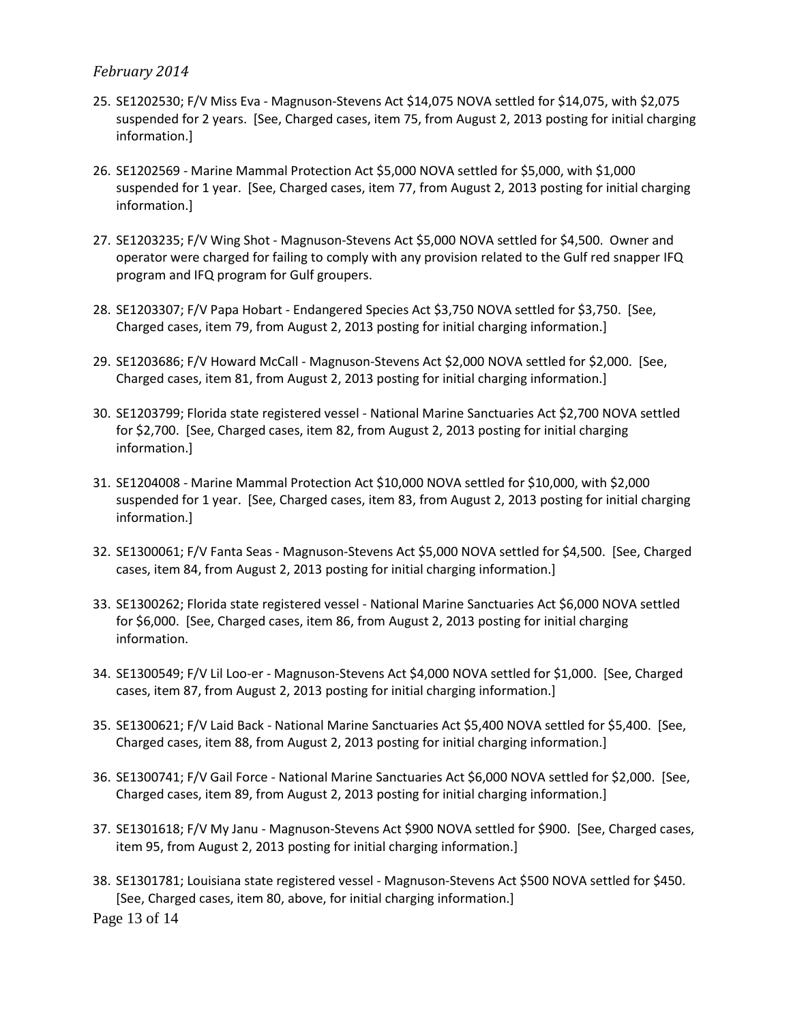- 25. SE1202530; F/V Miss Eva Magnuson-Stevens Act \$14,075 NOVA settled for \$14,075, with \$2,075 suspended for 2 years. [See, Charged cases, item 75, from August 2, 2013 posting for initial charging information.]
- 26. SE1202569 Marine Mammal Protection Act \$5,000 NOVA settled for \$5,000, with \$1,000 suspended for 1 year. [See, Charged cases, item 77, from August 2, 2013 posting for initial charging information.]
- 27. SE1203235; F/V Wing Shot Magnuson-Stevens Act \$5,000 NOVA settled for \$4,500. Owner and operator were charged for failing to comply with any provision related to the Gulf red snapper IFQ program and IFQ program for Gulf groupers.
- 28. SE1203307; F/V Papa Hobart Endangered Species Act \$3,750 NOVA settled for \$3,750. [See, Charged cases, item 79, from August 2, 2013 posting for initial charging information.]
- 29. SE1203686; F/V Howard McCall Magnuson-Stevens Act \$2,000 NOVA settled for \$2,000. [See, Charged cases, item 81, from August 2, 2013 posting for initial charging information.]
- 30. SE1203799; Florida state registered vessel National Marine Sanctuaries Act \$2,700 NOVA settled for \$2,700. [See, Charged cases, item 82, from August 2, 2013 posting for initial charging information.]
- 31. SE1204008 Marine Mammal Protection Act \$10,000 NOVA settled for \$10,000, with \$2,000 suspended for 1 year. [See, Charged cases, item 83, from August 2, 2013 posting for initial charging information.]
- 32. SE1300061; F/V Fanta Seas Magnuson-Stevens Act \$5,000 NOVA settled for \$4,500. [See, Charged cases, item 84, from August 2, 2013 posting for initial charging information.]
- 33. SE1300262; Florida state registered vessel National Marine Sanctuaries Act \$6,000 NOVA settled for \$6,000. [See, Charged cases, item 86, from August 2, 2013 posting for initial charging information.
- 34. SE1300549; F/V Lil Loo-er Magnuson-Stevens Act \$4,000 NOVA settled for \$1,000. [See, Charged cases, item 87, from August 2, 2013 posting for initial charging information.]
- 35. SE1300621; F/V Laid Back National Marine Sanctuaries Act \$5,400 NOVA settled for \$5,400. [See, Charged cases, item 88, from August 2, 2013 posting for initial charging information.]
- 36. SE1300741; F/V Gail Force National Marine Sanctuaries Act \$6,000 NOVA settled for \$2,000. [See, Charged cases, item 89, from August 2, 2013 posting for initial charging information.]
- 37. SE1301618; F/V My Janu Magnuson-Stevens Act \$900 NOVA settled for \$900. [See, Charged cases, item 95, from August 2, 2013 posting for initial charging information.]
- 38. SE1301781; Louisiana state registered vessel Magnuson-Stevens Act \$500 NOVA settled for \$450. [See, Charged cases, item 80, above, for initial charging information.]

Page 13 of 14